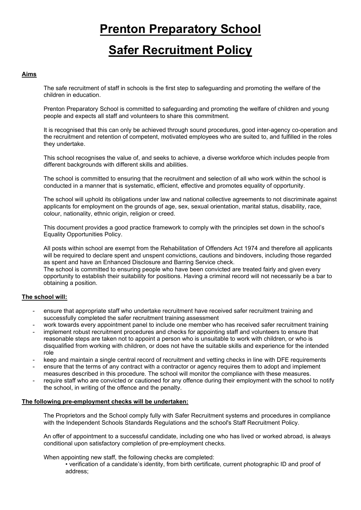# **Prenton Preparatory School**

# **Safer Recruitment Policy**

# **Aims**

The safe recruitment of staff in schools is the first step to safeguarding and promoting the welfare of the children in education.

Prenton Preparatory School is committed to safeguarding and promoting the welfare of children and young people and expects all staff and volunteers to share this commitment.

It is recognised that this can only be achieved through sound procedures, good inter-agency co-operation and the recruitment and retention of competent, motivated employees who are suited to, and fulfilled in the roles they undertake.

This school recognises the value of, and seeks to achieve, a diverse workforce which includes people from different backgrounds with different skills and abilities.

The school is committed to ensuring that the recruitment and selection of all who work within the school is conducted in a manner that is systematic, efficient, effective and promotes equality of opportunity.

The school will uphold its obligations under law and national collective agreements to not discriminate against applicants for employment on the grounds of age, sex, sexual orientation, marital status, disability, race, colour, nationality, ethnic origin, religion or creed.

This document provides a good practice framework to comply with the principles set down in the school's Equality Opportunities Policy.

All posts within school are exempt from the Rehabilitation of Offenders Act 1974 and therefore all applicants will be required to declare spent and unspent convictions, cautions and bindovers, including those regarded as spent and have an Enhanced Disclosure and Barring Service check.

The school is committed to ensuring people who have been convicted are treated fairly and given every opportunity to establish their suitability for positions. Having a criminal record will not necessarily be a bar to obtaining a position.

# **The school will:**

- ensure that appropriate staff who undertake recruitment have received safer recruitment training and successfully completed the safer recruitment training assessment
- work towards every appointment panel to include one member who has received safer recruitment training
- implement robust recruitment procedures and checks for appointing staff and volunteers to ensure that reasonable steps are taken not to appoint a person who is unsuitable to work with children, or who is disqualified from working with children, or does not have the suitable skills and experience for the intended role
- keep and maintain a single central record of recruitment and vetting checks in line with DFE requirements
- ensure that the terms of any contract with a contractor or agency requires them to adopt and implement measures described in this procedure. The school will monitor the compliance with these measures.
- require staff who are convicted or cautioned for any offence during their employment with the school to notify the school, in writing of the offence and the penalty.

# **The following pre-employment checks will be undertaken:**

The Proprietors and the School comply fully with Safer Recruitment systems and procedures in compliance with the Independent Schools Standards Regulations and the school's Staff Recruitment Policy.

An offer of appointment to a successful candidate, including one who has lived or worked abroad, is always conditional upon satisfactory completion of pre-employment checks.

When appointing new staff, the following checks are completed:

• verification of a candidate's identity, from birth certificate, current photographic ID and proof of address;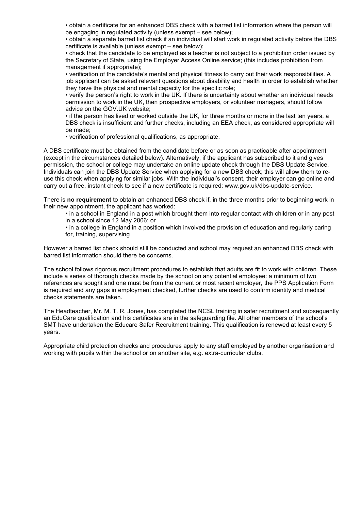• obtain a certificate for an enhanced DBS check with a barred list information where the person will be engaging in regulated activity (unless exempt – see below);

• obtain a separate barred list check if an individual will start work in regulated activity before the DBS certificate is available (unless exempt – see below);

• check that the candidate to be employed as a teacher is not subject to a prohibition order issued by the Secretary of State, using the Employer Access Online service; (this includes prohibition from management if appropriate);

• verification of the candidate's mental and physical fitness to carry out their work responsibilities. A job applicant can be asked relevant questions about disability and health in order to establish whether they have the physical and mental capacity for the specific role;

• verify the person's right to work in the UK. If there is uncertainty about whether an individual needs permission to work in the UK, then prospective employers, or volunteer managers, should follow advice on the GOV.UK website;

• if the person has lived or worked outside the UK, for three months or more in the last ten years, a DBS check is insufficient and further checks, including an EEA check, as considered appropriate will be made;

• verification of professional qualifications, as appropriate.

A DBS certificate must be obtained from the candidate before or as soon as practicable after appointment (except in the circumstances detailed below). Alternatively, if the applicant has subscribed to it and gives permission, the school or college may undertake an online update check through the DBS Update Service. Individuals can join the DBS Update Service when applying for a new DBS check; this will allow them to reuse this check when applying for similar jobs. With the individual's consent, their employer can go online and carry out a free, instant check to see if a new certificate is required: www.gov.uk/dbs-update-service.

There is **no requirement** to obtain an enhanced DBS check if, in the three months prior to beginning work in their new appointment, the applicant has worked:

• in a school in England in a post which brought them into regular contact with children or in any post in a school since 12 May 2006; or

• in a college in England in a position which involved the provision of education and regularly caring for, training, supervising

However a barred list check should still be conducted and school may request an enhanced DBS check with barred list information should there be concerns.

The school follows rigorous recruitment procedures to establish that adults are fit to work with children. These include a series of thorough checks made by the school on any potential employee: a minimum of two references are sought and one must be from the current or most recent employer, the PPS Application Form is required and any gaps in employment checked, further checks are used to confirm identity and medical checks statements are taken.

The Headteacher, Mr. M. T. R. Jones, has completed the NCSL training in safer recruitment and subsequently an EduCare qualification and his certificates are in the safeguarding file. All other members of the school's SMT have undertaken the Educare Safer Recruitment training. This qualification is renewed at least every 5 years.

Appropriate child protection checks and procedures apply to any staff employed by another organisation and working with pupils within the school or on another site, e.g. extra-curricular clubs.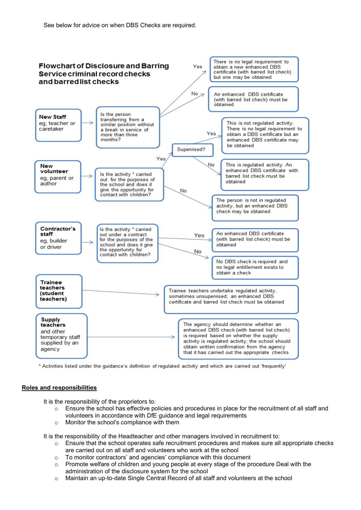

\* Activities listed under the guidance's definition of regulated activity and which are carried out 'frequently'

# **Roles and responsibilities**

It is the responsibility of the proprietors to:

- o Ensure the school has effective policies and procedures in place for the recruitment of all staff and volunteers in accordance with DfE guidance and legal requirements
- o Monitor the school's compliance with them

It is the responsibility of the Headteacher and other managers involved in recruitment to:

- $\circ$  Ensure that the school operates safe recruitment procedures and makes sure all appropriate checks are carried out on all staff and volunteers who work at the school
- $\circ$  To monitor contractors' and agencies' compliance with this document
- $\circ$  Promote welfare of children and young people at every stage of the procedure Deal with the administration of the disclosure system for the school
- o Maintain an up-to-date Single Central Record of all staff and volunteers at the school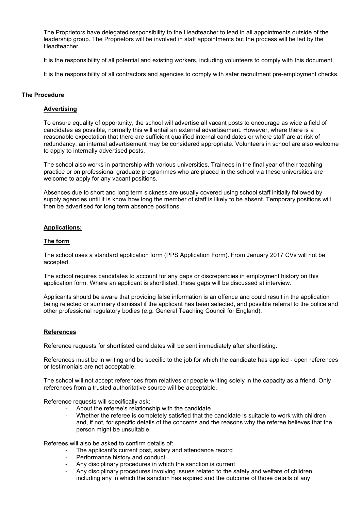The Proprietors have delegated responsibility to the Headteacher to lead in all appointments outside of the leadership group. The Proprietors will be involved in staff appointments but the process will be led by the Headteacher.

It is the responsibility of all potential and existing workers, including volunteers to comply with this document.

It is the responsibility of all contractors and agencies to comply with safer recruitment pre-employment checks.

# **The Procedure**

# **Advertising**

To ensure equality of opportunity, the school will advertise all vacant posts to encourage as wide a field of candidates as possible, normally this will entail an external advertisement. However, where there is a reasonable expectation that there are sufficient qualified internal candidates or where staff are at risk of redundancy, an internal advertisement may be considered appropriate. Volunteers in school are also welcome to apply to internally advertised posts.

The school also works in partnership with various universities. Trainees in the final year of their teaching practice or on professional graduate programmes who are placed in the school via these universities are welcome to apply for any vacant positions.

Absences due to short and long term sickness are usually covered using school staff initially followed by supply agencies until it is know how long the member of staff is likely to be absent. Temporary positions will then be advertised for long term absence positions.

# **Applications:**

#### **The form**

The school uses a standard application form (PPS Application Form). From January 2017 CVs will not be accepted.

The school requires candidates to account for any gaps or discrepancies in employment history on this application form. Where an applicant is shortlisted, these gaps will be discussed at interview.

Applicants should be aware that providing false information is an offence and could result in the application being rejected or summary dismissal if the applicant has been selected, and possible referral to the police and other professional regulatory bodies (e.g. General Teaching Council for England).

# **References**

Reference requests for shortlisted candidates will be sent immediately after shortlisting.

References must be in writing and be specific to the job for which the candidate has applied - open references or testimonials are not acceptable.

The school will not accept references from relatives or people writing solely in the capacity as a friend. Only references from a trusted authoritative source will be acceptable.

Reference requests will specifically ask:

- About the referee's relationship with the candidate
- Whether the referee is completely satisfied that the candidate is suitable to work with children and, if not, for specific details of the concerns and the reasons why the referee believes that the person might be unsuitable.

Referees will also be asked to confirm details of:

- The applicant's current post, salary and attendance record
- Performance history and conduct
- Any disciplinary procedures in which the sanction is current
- Any disciplinary procedures involving issues related to the safety and welfare of children. including any in which the sanction has expired and the outcome of those details of any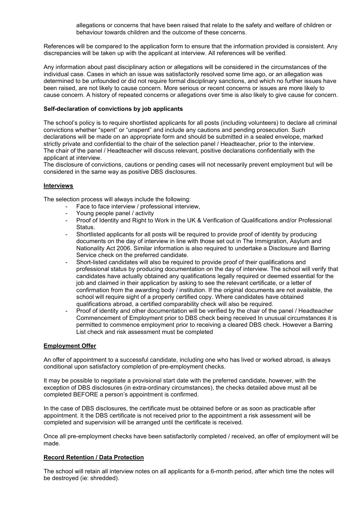allegations or concerns that have been raised that relate to the safety and welfare of children or behaviour towards children and the outcome of these concerns.

References will be compared to the application form to ensure that the information provided is consistent. Any discrepancies will be taken up with the applicant at interview. All references will be verified.

Any information about past disciplinary action or allegations will be considered in the circumstances of the individual case. Cases in which an issue was satisfactorily resolved some time ago, or an allegation was determined to be unfounded or did not require formal disciplinary sanctions, and which no further issues have been raised, are not likely to cause concern. More serious or recent concerns or issues are more likely to cause concern. A history of repeated concerns or allegations over time is also likely to give cause for concern.

# **Self-declaration of convictions by job applicants**

The school's policy is to require shortlisted applicants for all posts (including volunteers) to declare all criminal convictions whether "spent" or "unspent" and include any cautions and pending prosecution. Such declarations will be made on an appropriate form and should be submitted in a sealed envelope, marked strictly private and confidential to the chair of the selection panel / Headteacher, prior to the interview. The chair of the panel / Headteacher will discuss relevant, positive declarations confidentially with the applicant at interview.

The disclosure of convictions, cautions or pending cases will not necessarily prevent employment but will be considered in the same way as positive DBS disclosures.

# **Interviews**

The selection process will always include the following:

- Face to face interview / professional interview,
- Young people panel / activity
- Proof of Identity and Right to Work in the UK & Verification of Qualifications and/or Professional Status.
- Shortlisted applicants for all posts will be required to provide proof of identity by producing documents on the day of interview in line with those set out in The Immigration, Asylum and Nationality Act 2006. Similar information is also required to undertake a Disclosure and Barring Service check on the preferred candidate.
- Short-listed candidates will also be required to provide proof of their qualifications and professional status by producing documentation on the day of interview. The school will verify that candidates have actually obtained any qualifications legally required or deemed essential for the job and claimed in their application by asking to see the relevant certificate, or a letter of confirmation from the awarding body / institution. If the original documents are not available, the school will require sight of a properly certified copy. Where candidates have obtained qualifications abroad, a certified comparability check will also be required.
- Proof of identity and other documentation will be verified by the chair of the panel / Headteacher Commencement of Employment prior to DBS check being received In unusual circumstances it is permitted to commence employment prior to receiving a cleared DBS check. However a Barring List check and risk assessment must be completed

# **Employment Offer**

An offer of appointment to a successful candidate, including one who has lived or worked abroad, is always conditional upon satisfactory completion of pre-employment checks.

It may be possible to negotiate a provisional start date with the preferred candidate, however, with the exception of DBS disclosures (in extra-ordinary circumstances), the checks detailed above must all be completed BEFORE a person's appointment is confirmed.

In the case of DBS disclosures, the certificate must be obtained before or as soon as practicable after appointment. It the DBS certificate is not received prior to the appointment a risk assessment will be completed and supervision will be arranged until the certificate is received.

Once all pre-employment checks have been satisfactorily completed / received, an offer of employment will be made.

# **Record Retention / Data Protection**

The school will retain all interview notes on all applicants for a 6-month period, after which time the notes will be destroyed (ie: shredded).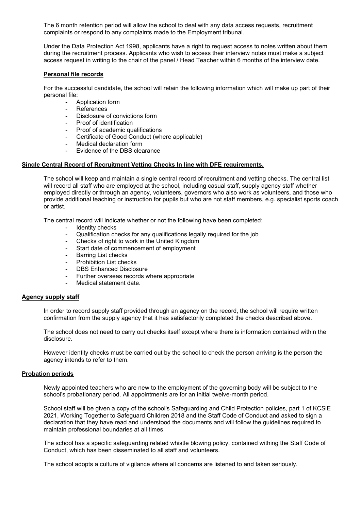The 6 month retention period will allow the school to deal with any data access requests, recruitment complaints or respond to any complaints made to the Employment tribunal.

Under the Data Protection Act 1998, applicants have a right to request access to notes written about them during the recruitment process. Applicants who wish to access their interview notes must make a subject access request in writing to the chair of the panel / Head Teacher within 6 months of the interview date.

# **Personal file records**

For the successful candidate, the school will retain the following information which will make up part of their personal file:

- Application form
- **References**
- Disclosure of convictions form
- Proof of identification
- Proof of academic qualifications
- Certificate of Good Conduct (where applicable)
- Medical declaration form
- Evidence of the DBS clearance

# **Single Central Record of Recruitment Vetting Checks In line with DFE requirements,**

The school will keep and maintain a single central record of recruitment and vetting checks. The central list will record all staff who are employed at the school, including casual staff, supply agency staff whether employed directly or through an agency, volunteers, governors who also work as volunteers, and those who provide additional teaching or instruction for pupils but who are not staff members, e.g. specialist sports coach or artist.

The central record will indicate whether or not the following have been completed:

- Identity checks
- Qualification checks for any qualifications legally required for the job
- Checks of right to work in the United Kingdom
- Start date of commencement of employment
- Barring List checks
- Prohibition List checks
- DBS Enhanced Disclosure
- Further overseas records where appropriate
- Medical statement date

# **Agency supply staff**

In order to record supply staff provided through an agency on the record, the school will require written confirmation from the supply agency that it has satisfactorily completed the checks described above.

The school does not need to carry out checks itself except where there is information contained within the disclosure.

However identity checks must be carried out by the school to check the person arriving is the person the agency intends to refer to them.

# **Probation periods**

Newly appointed teachers who are new to the employment of the governing body will be subject to the school's probationary period. All appointments are for an initial twelve-month period.

School staff will be given a copy of the school's Safeguarding and Child Protection policies, part 1 of KCSiE 2021, Working Together to Safeguard Children 2018 and the Staff Code of Conduct and asked to sign a declaration that they have read and understood the documents and will follow the guidelines required to maintain professional boundaries at all times.

The school has a specific safeguarding related whistle blowing policy, contained withing the Staff Code of Conduct, which has been disseminated to all staff and volunteers.

The school adopts a culture of vigilance where all concerns are listened to and taken seriously.